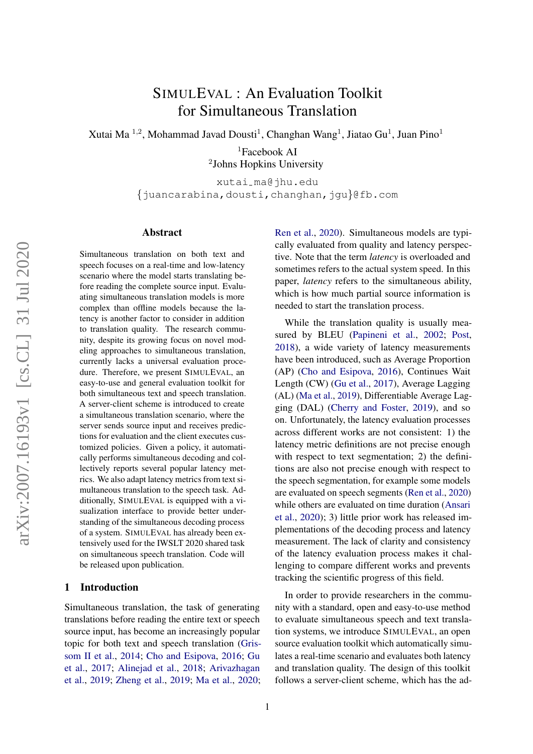# SIMULEVAL : An Evaluation Toolkit for Simultaneous Translation

Xutai Ma  $^{1,2}$ , Mohammad Javad Dousti<sup>1</sup>, Changhan Wang<sup>1</sup>, Jiatao Gu<sup>1</sup>, Juan Pino<sup>1</sup>

<sup>1</sup>Facebook AI 2 Johns Hopkins University

xutai ma@jhu.edu {juancarabina,dousti,changhan,jgu}@fb.com

## Abstract

Simultaneous translation on both text and speech focuses on a real-time and low-latency scenario where the model starts translating before reading the complete source input. Evaluating simultaneous translation models is more complex than offline models because the latency is another factor to consider in addition to translation quality. The research community, despite its growing focus on novel modeling approaches to simultaneous translation, currently lacks a universal evaluation procedure. Therefore, we present SIMULEVAL, an easy-to-use and general evaluation toolkit for both simultaneous text and speech translation. A server-client scheme is introduced to create a simultaneous translation scenario, where the server sends source input and receives predictions for evaluation and the client executes customized policies. Given a policy, it automatically performs simultaneous decoding and collectively reports several popular latency metrics. We also adapt latency metrics from text simultaneous translation to the speech task. Additionally, SIMULEVAL is equipped with a visualization interface to provide better understanding of the simultaneous decoding process of a system. SIMULEVAL has already been extensively used for the IWSLT 2020 shared task on simultaneous speech translation. Code will be released upon publication.

## 1 Introduction

Simultaneous translation, the task of generating translations before reading the entire text or speech source input, has become an increasingly popular topic for both text and speech translation [\(Gris](#page-6-0)[som II et al.,](#page-6-0) [2014;](#page-6-0) [Cho and Esipova,](#page-6-1) [2016;](#page-6-1) [Gu](#page-6-2) [et al.,](#page-6-2) [2017;](#page-6-2) [Alinejad et al.,](#page-5-0) [2018;](#page-5-0) [Arivazhagan](#page-5-1) [et al.,](#page-5-1) [2019;](#page-5-1) [Zheng et al.,](#page-6-3) [2019;](#page-6-3) [Ma et al.,](#page-6-4) [2020;](#page-6-4)

[Ren et al.,](#page-6-5) [2020\)](#page-6-5). Simultaneous models are typically evaluated from quality and latency perspective. Note that the term *latency* is overloaded and sometimes refers to the actual system speed. In this paper, *latency* refers to the simultaneous ability, which is how much partial source information is needed to start the translation process.

While the translation quality is usually measured by BLEU [\(Papineni et al.,](#page-6-6) [2002;](#page-6-6) [Post,](#page-6-7) [2018\)](#page-6-7), a wide variety of latency measurements have been introduced, such as Average Proportion (AP) [\(Cho and Esipova,](#page-6-1) [2016\)](#page-6-1), Continues Wait Length (CW) [\(Gu et al.,](#page-6-2) [2017\)](#page-6-2), Average Lagging (AL) [\(Ma et al.,](#page-6-8) [2019\)](#page-6-8), Differentiable Average Lagging (DAL) [\(Cherry and Foster,](#page-6-9) [2019\)](#page-6-9), and so on. Unfortunately, the latency evaluation processes across different works are not consistent: 1) the latency metric definitions are not precise enough with respect to text segmentation; 2) the definitions are also not precise enough with respect to the speech segmentation, for example some models are evaluated on speech segments [\(Ren et al.,](#page-6-5) [2020\)](#page-6-5) while others are evaluated on time duration [\(Ansari](#page-5-2) [et al.,](#page-5-2) [2020\)](#page-5-2); 3) little prior work has released implementations of the decoding process and latency measurement. The lack of clarity and consistency of the latency evaluation process makes it challenging to compare different works and prevents tracking the scientific progress of this field.

In order to provide researchers in the community with a standard, open and easy-to-use method to evaluate simultaneous speech and text translation systems, we introduce SIMULEVAL, an open source evaluation toolkit which automatically simulates a real-time scenario and evaluates both latency and translation quality. The design of this toolkit follows a server-client scheme, which has the ad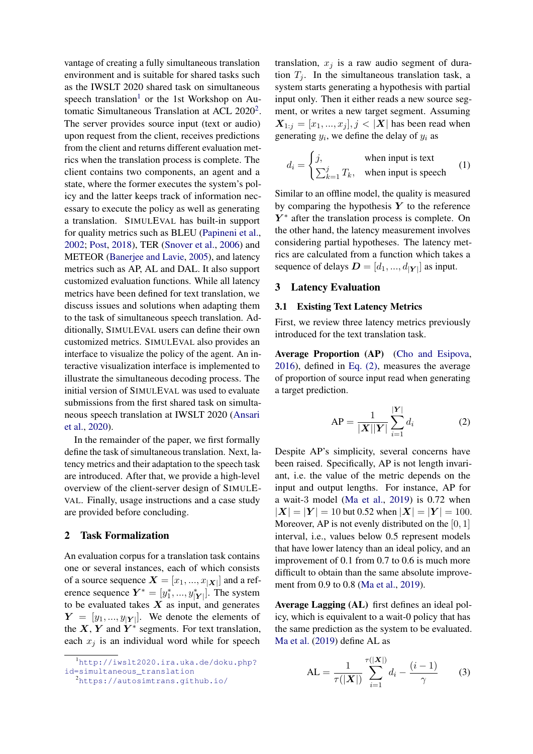vantage of creating a fully simultaneous translation environment and is suitable for shared tasks such as the IWSLT 2020 shared task on simultaneous speech translation<sup>[1](#page-1-0)</sup> or the 1st Workshop on Au-tomatic Simultaneous Translation at ACL [2](#page-1-1)020<sup>2</sup>. The server provides source input (text or audio) upon request from the client, receives predictions from the client and returns different evaluation metrics when the translation process is complete. The client contains two components, an agent and a state, where the former executes the system's policy and the latter keeps track of information necessary to execute the policy as well as generating a translation. SIMULEVAL has built-in support for quality metrics such as BLEU [\(Papineni et al.,](#page-6-6) [2002;](#page-6-6) [Post,](#page-6-7) [2018\)](#page-6-7), TER [\(Snover et al.,](#page-6-10) [2006\)](#page-6-10) and METEOR [\(Banerjee and Lavie,](#page-6-11) [2005\)](#page-6-11), and latency metrics such as AP, AL and DAL. It also support customized evaluation functions. While all latency metrics have been defined for text translation, we discuss issues and solutions when adapting them to the task of simultaneous speech translation. Additionally, SIMULEVAL users can define their own customized metrics. SIMULEVAL also provides an interface to visualize the policy of the agent. An interactive visualization interface is implemented to illustrate the simultaneous decoding process. The initial version of SIMULEVAL was used to evaluate submissions from the first shared task on simultaneous speech translation at IWSLT 2020 [\(Ansari](#page-5-2) [et al.,](#page-5-2) [2020\)](#page-5-2).

In the remainder of the paper, we first formally define the task of simultaneous translation. Next, latency metrics and their adaptation to the speech task are introduced. After that, we provide a high-level overview of the client-server design of SIMULE-VAL. Finally, usage instructions and a case study are provided before concluding.

## 2 Task Formalization

An evaluation corpus for a translation task contains one or several instances, each of which consists of a source sequence  $\boldsymbol{X}=[x_1,...,x_{\mid \boldsymbol{X} \mid}]$  and a reference sequence  $Y^* = [y_1^*, ..., y_{|Y|}^+]$ . The system to be evaluated takes  $X$  as input, and generates  $Y = [y_1, ..., y_{|Y|}]$ . We denote the elements of the  $X, Y$  and  $Y^*$  segments. For text translation, each  $x_j$  is an individual word while for speech

translation,  $x_j$  is a raw audio segment of duration  $T_i$ . In the simultaneous translation task, a system starts generating a hypothesis with partial input only. Then it either reads a new source segment, or writes a new target segment. Assuming  $X_{1:j} = [x_1, ..., x_j], j < |X|$  has been read when generating  $y_i$ , we define the delay of  $y_i$  as

$$
d_i = \begin{cases} j, & \text{when input is text} \\ \sum_{k=1}^j T_k, & \text{when input is speech} \end{cases} \tag{1}
$$

Similar to an offline model, the quality is measured by comparing the hypothesis  $Y$  to the reference  $Y^*$  after the translation process is complete. On the other hand, the latency measurement involves considering partial hypotheses. The latency metrics are calculated from a function which takes a sequence of delays  $\mathbf{D} = [d_1, ..., d_{|\mathbf{Y}|}]$  as input.

#### 3 Latency Evaluation

#### <span id="page-1-3"></span>3.1 Existing Text Latency Metrics

First, we review three latency metrics previously introduced for the text translation task.

Average Proportion (AP) [\(Cho and Esipova,](#page-6-1) [2016\)](#page-6-1), defined in [Eq. \(2\),](#page-1-2) measures the average of proportion of source input read when generating a target prediction.

<span id="page-1-2"></span>
$$
AP = \frac{1}{|\mathbf{X}||\mathbf{Y}|} \sum_{i=1}^{|\mathbf{Y}|} d_i
$$
 (2)

Despite AP's simplicity, several concerns have been raised. Specifically, AP is not length invariant, i.e. the value of the metric depends on the input and output lengths. For instance, AP for a wait-3 model [\(Ma et al.,](#page-6-8) [2019\)](#page-6-8) is 0.72 when  $|\mathbf{X}| = |\mathbf{Y}| = 10$  but 0.52 when  $|\mathbf{X}| = |\mathbf{Y}| = 100$ . Moreover, AP is not evenly distributed on the  $[0, 1]$ interval, i.e., values below 0.5 represent models that have lower latency than an ideal policy, and an improvement of 0.1 from 0.7 to 0.6 is much more difficult to obtain than the same absolute improvement from 0.9 to 0.8 [\(Ma et al.,](#page-6-8) [2019\)](#page-6-8).

Average Lagging (AL) first defines an ideal policy, which is equivalent to a wait-0 policy that has the same prediction as the system to be evaluated. [Ma et al.](#page-6-8) [\(2019\)](#page-6-8) define AL as

AL = 
$$
\frac{1}{\tau(|\mathbf{X}|)} \sum_{i=1}^{\tau(|\mathbf{X}|)} d_i - \frac{(i-1)}{\gamma}
$$
 (3)

<span id="page-1-0"></span><sup>1</sup>[http://iwslt2020.ira.uka.de/doku.php?](http://iwslt2020.ira.uka.de/doku.php?id=simultaneous_translation) [id=simultaneous\\_translation](http://iwslt2020.ira.uka.de/doku.php?id=simultaneous_translation)

<span id="page-1-1"></span><sup>2</sup><https://autosimtrans.github.io/>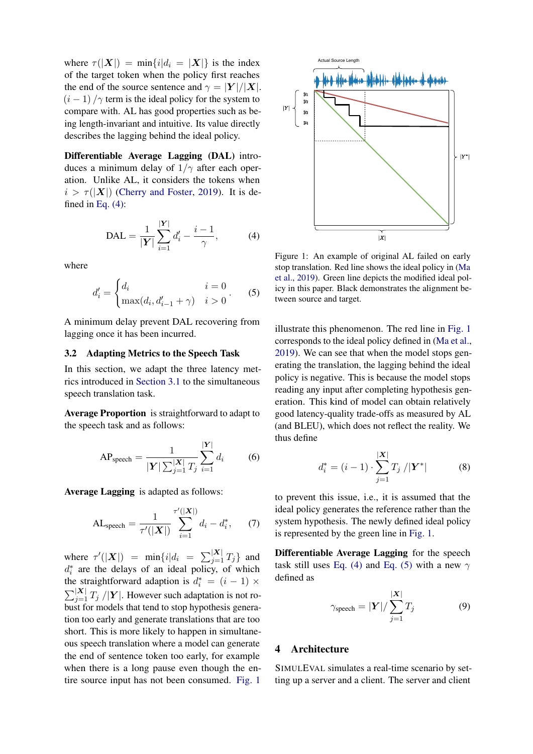where  $\tau(|X|) = \min\{i|d_i = |X|\}$  is the index of the target token when the policy first reaches the end of the source sentence and  $\gamma = |Y|/|X|$ .  $(i - 1) / \gamma$  term is the ideal policy for the system to compare with. AL has good properties such as being length-invariant and intuitive. Its value directly describes the lagging behind the ideal policy.

Differentiable Average Lagging (DAL) introduces a minimum delay of  $1/\gamma$  after each operation. Unlike AL, it considers the tokens when  $i > \tau(|X|)$  [\(Cherry and Foster,](#page-6-9) [2019\)](#page-6-9). It is defined in [Eq. \(4\):](#page-2-0)

<span id="page-2-0"></span>
$$
DAL = \frac{1}{|Y|} \sum_{i=1}^{|Y|} d'_i - \frac{i-1}{\gamma},
$$
 (4)

where

<span id="page-2-2"></span>
$$
d'_{i} = \begin{cases} d_{i} & i = 0\\ \max(d_{i}, d'_{i-1} + \gamma) & i > 0 \end{cases}
$$
 (5)

A minimum delay prevent DAL recovering from lagging once it has been incurred.

### 3.2 Adapting Metrics to the Speech Task

In this section, we adapt the three latency metrics introduced in [Section 3.1](#page-1-3) to the simultaneous speech translation task.

Average Proportion is straightforward to adapt to the speech task and as follows:

AP<sub>speed</sub> = 
$$
\frac{1}{|\mathbf{Y}| \sum_{j=1}^{|\mathbf{X}|} T_j} \sum_{i=1}^{|\mathbf{Y}|} d_i
$$
 (6)

Average Lagging is adapted as follows:

AL<sub>speed</sub> = 
$$
\frac{1}{\tau'(|X|)} \sum_{i=1}^{\tau'(|X|)} d_i - d_i^*,
$$
 (7)

where  $\tau'(|\boldsymbol{X}|)$  =  $\min\{i|d_i = \sum_{j=1}^{\vert \boldsymbol{X} \vert} T_j\}$  and  $d_i^*$  are the delays of an ideal policy, of which the straightforward adaption is  $d_i^* = (i - 1) \times$  $\sum_{j=1}^{\vert \mathbf{X} \vert} T_j / \vert \mathbf{Y} \vert$ . However such adaptation is not robust for models that tend to stop hypothesis generation too early and generate translations that are too short. This is more likely to happen in simultaneous speech translation where a model can generate the end of sentence token too early, for example when there is a long pause even though the entire source input has not been consumed. [Fig. 1](#page-2-1)

<span id="page-2-1"></span>

Figure 1: An example of original AL failed on early stop translation. Red line shows the ideal policy in [\(Ma](#page-6-8) [et al.,](#page-6-8) [2019\)](#page-6-8). Green line depicts the modified ideal policy in this paper. Black demonstrates the alignment between source and target.

illustrate this phenomenon. The red line in [Fig. 1](#page-2-1) corresponds to the ideal policy defined in [\(Ma et al.,](#page-6-8) [2019\)](#page-6-8). We can see that when the model stops generating the translation, the lagging behind the ideal policy is negative. This is because the model stops reading any input after completing hypothesis generation. This kind of model can obtain relatively good latency-quality trade-offs as measured by AL (and BLEU), which does not reflect the reality. We thus define

$$
d_i^* = (i - 1) \cdot \sum_{j=1}^{|X|} T_j / |Y^*|
$$
 (8)

to prevent this issue, i.e., it is assumed that the ideal policy generates the reference rather than the system hypothesis. The newly defined ideal policy is represented by the green line in [Fig. 1.](#page-2-1)

Differentiable Average Lagging for the speech task still uses [Eq. \(4\)](#page-2-0) and [Eq. \(5\)](#page-2-2) with a new  $\gamma$ defined as

$$
\gamma_{\text{speed}} = |\mathbf{Y}| / \sum_{j=1}^{|\mathbf{X}|} T_j \tag{9}
$$

# 4 Architecture

SIMULEVAL simulates a real-time scenario by setting up a server and a client. The server and client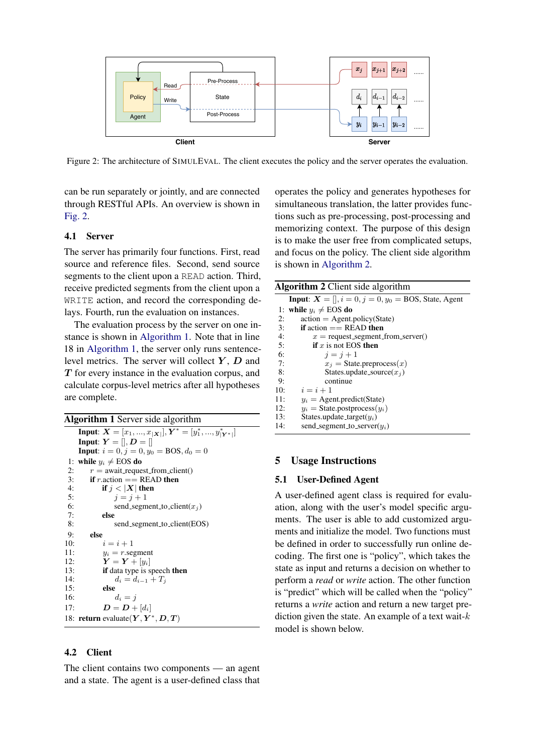<span id="page-3-0"></span>

Figure 2: The architecture of SIMULEVAL. The client executes the policy and the server operates the evaluation.

can be run separately or jointly, and are connected through RESTful APIs. An overview is shown in [Fig. 2.](#page-3-0)

#### 4.1 Server

The server has primarily four functions. First, read source and reference files. Second, send source segments to the client upon a READ action. Third, receive predicted segments from the client upon a WRITE action, and record the corresponding delays. Fourth, run the evaluation on instances.

The evaluation process by the server on one instance is shown in [Algorithm 1.](#page-3-1) Note that in line 18 in [Algorithm 1,](#page-3-1) the server only runs sentencelevel metrics. The server will collect  $Y$ ,  $D$  and T for every instance in the evaluation corpus, and calculate corpus-level metrics after all hypotheses are complete.

<span id="page-3-1"></span>

|    | <b>Algorithm 1</b> Server side algorithm                                           |
|----|------------------------------------------------------------------------------------|
|    | <b>Input:</b> $X = [x_1, , x_{ \mathbf{X} }], Y^* = [y_1^*, , y_{ \mathbf{Y}^* }]$ |
|    | <b>Input:</b> $Y = []$ , $D = []$                                                  |
|    | <b>Input:</b> $i = 0, j = 0, y_0 = BOS, d_0 = 0$                                   |
|    | 1: while $y_i \neq EOS$ do                                                         |
| 2: | $r =$ await_request_from_client()                                                  |

```
3: if r.action == READ then<br>4: if i < |X| then
 4: if j < |X| then<br>5: i i = j + 1i = i + 16: send_segment_to_client(x_j)<br>7: else
 7: else
              send_segment_to_client(EOS)
9: else
           i = i + 111: y_i = r \text{.segment}12: \qquad \qquad \tilde{\textbf{Y}} = \textbf{Y} + [y_i]13: if data type is speech then
14: d_i = d_{i-1} + T_j15: else
16: d_i = j17: D = D + [d_i]18: return evaluate(Y, Y^*, D, T)
```
## 4.2 Client

The client contains two components — an agent and a state. The agent is a user-defined class that operates the policy and generates hypotheses for simultaneous translation, the latter provides functions such as pre-processing, post-processing and memorizing context. The purpose of this design is to make the user free from complicated setups, and focus on the policy. The client side algorithm is shown in [Algorithm 2.](#page-3-2)

<span id="page-3-2"></span>Algorithm 2 Client side algorithm **Input:**  $X = []$ ,  $i = 0$ ,  $j = 0$ ,  $y_0 =$  BOS, State, Agent

|     | 1: while $y_i \neq EOS$ do          |
|-----|-------------------------------------|
| 2:  | $action = Agent.policy(State)$      |
| 3:  | <b>if</b> action $==$ READ then     |
| 4:  | $x =$ request_segment_from_server() |
| 5:  | <b>if</b> x is not EOS then         |
| 6:  | $i = i + 1$                         |
| 7:  | $x_i$ = State.preprocess $(x)$      |
| 8:  | States.update_source $(x_i)$        |
| 9:  | continue                            |
| 10: | $i=i+1$                             |
| 11: | $y_i$ = Agent.predict(State)        |
| 12: | $y_i =$ State.postprocess $(y_i)$   |
| 13: | States.update_target( $y_i$ )       |
| 14: | send_segment_to_server( $u_i$ )     |
|     |                                     |

## 5 Usage Instructions

### 5.1 User-Defined Agent

A user-defined agent class is required for evaluation, along with the user's model specific arguments. The user is able to add customized arguments and initialize the model. Two functions must be defined in order to successfully run online decoding. The first one is "policy", which takes the state as input and returns a decision on whether to perform a *read* or *write* action. The other function is "predict" which will be called when the "policy" returns a *write* action and return a new target prediction given the state. An example of a text wait- $k$ model is shown below.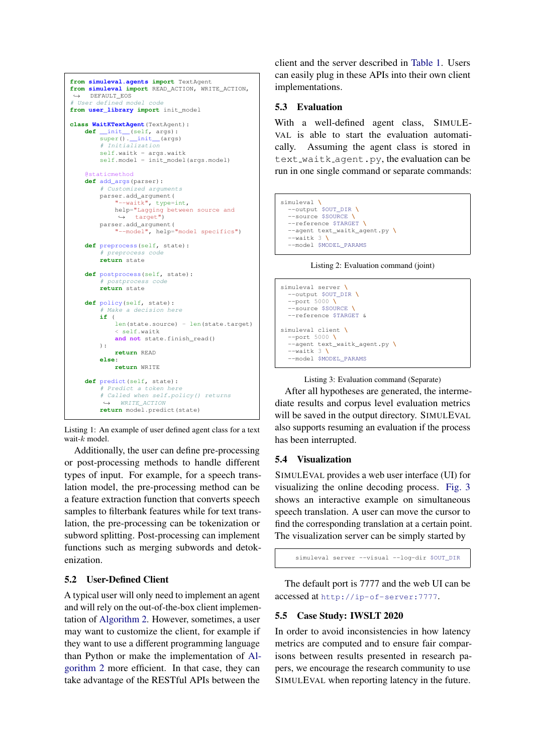```
from simuleval.agents import TextAgent
from simuleval import READ_ACTION, WRITE_ACTION,
 ,→ DEFAULT_EOS
# User defined model code
from user_library import init_model
class WaitKTextAgent(TextAgent):
    def __init__(self, args):<br>super().__init__(args)
        # Initialization
        self.waitk = args.waitk
        self.model = init_model(args.model)
    @staticmethod
    def add_args(parser):
        # Customized arguments
        parser.add_argument(
             "--waitk", type=int,
            help="Lagging between source and
             ,→ target")
        parser.add_argument(
             "--model", help="model specifics")
    def preprocess(self, state):
         # preprocess code
        return state
    def postprocess(self, state):
         # postprocess code
        return state
    def policy(self, state):
         # Make a decision here
        if (
            len(state.source) - len(state.target)
             < self.waitk
            and not state.finish read()
        ):
            return READ
        else:
            return WRITE
    def predict(self, state):
         # Predict a token here
        # Called when self.policy() returns
             WRITE ACTION
        return model.predict(state)
```
Listing 1: An example of user defined agent class for a text wait-k model.

Additionally, the user can define pre-processing or post-processing methods to handle different types of input. For example, for a speech translation model, the pre-processing method can be a feature extraction function that converts speech samples to filterbank features while for text translation, the pre-processing can be tokenization or subword splitting. Post-processing can implement functions such as merging subwords and detokenization.

# 5.2 User-Defined Client

A typical user will only need to implement an agent and will rely on the out-of-the-box client implementation of [Algorithm 2.](#page-3-2) However, sometimes, a user may want to customize the client, for example if they want to use a different programming language than Python or make the implementation of [Al](#page-3-2)[gorithm 2](#page-3-2) more efficient. In that case, they can take advantage of the RESTful APIs between the

client and the server described in [Table 1.](#page-5-3) Users can easily plug in these APIs into their own client implementations.

# 5.3 Evaluation

With a well-defined agent class, SIMULE-VAL is able to start the evaluation automatically. Assuming the agent class is stored in text\_waitk\_agent.py, the evaluation can be run in one single command or separate commands:

```
simuleval \
  --output $OUT_DIR \
  --source $SOURCE \
  --reference $TARGET \
  --agent text_waitk_agent.py \
  --waitk 3 \
  --model $MODEL_PARAMS
```
Listing 2: Evaluation command (joint)

```
simuleval server \
  --output $OUT_DIR \
    --port 5000 \
  --source $SOURCE \
  --reference $TARGET &
simuleval client \
  --port 5000 \
  --agent text_waitk_agent.py \
  --waitk 3 \
  --model $MODEL_PARAMS
```

```
Listing 3: Evaluation command (Separate)
```
After all hypotheses are generated, the intermediate results and corpus level evaluation metrics will be saved in the output directory. SIMULEVAL also supports resuming an evaluation if the process has been interrupted.

# 5.4 Visualization

SIMULEVAL provides a web user interface (UI) for visualizing the online decoding process. [Fig. 3](#page-5-4) shows an interactive example on simultaneous speech translation. A user can move the cursor to find the corresponding translation at a certain point. The visualization server can be simply started by

```
simuleval server --visual --log-dir $OUT_DIR
```
The default port is 7777 and the web UI can be accessed at <http://ip-of-server:7777>.

# 5.5 Case Study: IWSLT 2020

In order to avoid inconsistencies in how latency metrics are computed and to ensure fair comparisons between results presented in research papers, we encourage the research community to use SIMULEVAL when reporting latency in the future.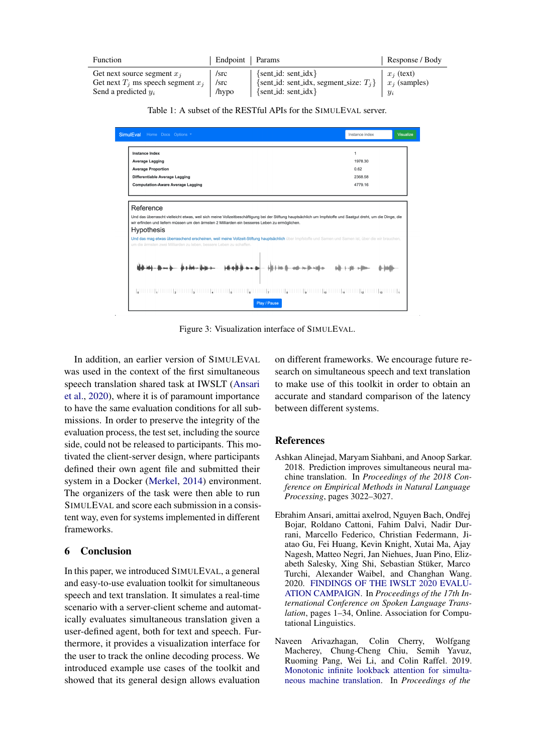<span id="page-5-3"></span>

| Function                                                                                          | Endpoint   Params        |                                                                                                                      | Response / Body       |
|---------------------------------------------------------------------------------------------------|--------------------------|----------------------------------------------------------------------------------------------------------------------|-----------------------|
| Get next source segment $x_i$<br>Get next $T_i$ ms speech segment $x_i$<br>Send a predicted $y_i$ | /src<br>$/$ src<br>/hypo | $\{sent_id: sent_idx\}$<br>{sent_id: sent_idx, segment_size: $T_i$ } $\mid x_i$ (samples)<br>$\{sent_id: sent_idx\}$ | $x_i$ (text)<br>$y_i$ |

Table 1: A subset of the RESTful APIs for the SIMULEVAL server.

<span id="page-5-4"></span>

| SimulEval Home Docs Options "                                                                                                                                                                                                                                                                                                                                                                                                                                                                                       | Instance index       | Visualize |
|---------------------------------------------------------------------------------------------------------------------------------------------------------------------------------------------------------------------------------------------------------------------------------------------------------------------------------------------------------------------------------------------------------------------------------------------------------------------------------------------------------------------|----------------------|-----------|
| <b>Instance Index</b><br><b>Average Lagging</b><br><b>Average Proportion</b>                                                                                                                                                                                                                                                                                                                                                                                                                                        | 1<br>1978.30<br>0.62 |           |
| Differentiable Average Lagging<br><b>Computation-Aware Average Lagging</b>                                                                                                                                                                                                                                                                                                                                                                                                                                          | 2368.58<br>4779.16   |           |
| Und das überrascht vielleicht etwas, weil sich meine Vollzeitbeschäftigung bei der Stiftung hauptsächlich um Impfstoffe und Saatgut dreht, um die Dinge, die<br>wir erfinden und liefern müssen um den ärmsten 2 Milliarden ein besseres Leben zu ermöglichen.<br><b>Hypothesis</b><br>Und das mag etwas überraschend erscheinen, weil meine Vollzeit-Stiftung hauptsächlich über Impfstoffe und Samen und Samen ist, über die wir brauchen,<br>um die ärmsten zwei Milliarden zu leben, bessere Leben zu schaffen. |                      |           |
|                                                                                                                                                                                                                                                                                                                                                                                                                                                                                                                     |                      |           |
| Play / Pause                                                                                                                                                                                                                                                                                                                                                                                                                                                                                                        |                      |           |

Figure 3: Visualization interface of SIMULEVAL.

In addition, an earlier version of SIMULEVAL was used in the context of the first simultaneous speech translation shared task at IWSLT [\(Ansari](#page-5-2) [et al.,](#page-5-2) [2020\)](#page-5-2), where it is of paramount importance to have the same evaluation conditions for all submissions. In order to preserve the integrity of the evaluation process, the test set, including the source side, could not be released to participants. This motivated the client-server design, where participants defined their own agent file and submitted their system in a Docker [\(Merkel,](#page-6-12) [2014\)](#page-6-12) environment. The organizers of the task were then able to run SIMULEVAL and score each submission in a consistent way, even for systems implemented in different frameworks.

#### 6 Conclusion

In this paper, we introduced SIMULEVAL, a general and easy-to-use evaluation toolkit for simultaneous speech and text translation. It simulates a real-time scenario with a server-client scheme and automatically evaluates simultaneous translation given a user-defined agent, both for text and speech. Furthermore, it provides a visualization interface for the user to track the online decoding process. We introduced example use cases of the toolkit and showed that its general design allows evaluation

on different frameworks. We encourage future research on simultaneous speech and text translation to make use of this toolkit in order to obtain an accurate and standard comparison of the latency between different systems.

#### References

- <span id="page-5-0"></span>Ashkan Alinejad, Maryam Siahbani, and Anoop Sarkar. 2018. Prediction improves simultaneous neural machine translation. In *Proceedings of the 2018 Conference on Empirical Methods in Natural Language Processing*, pages 3022–3027.
- <span id="page-5-2"></span>Ebrahim Ansari, amittai axelrod, Nguyen Bach, Ondˇrej Bojar, Roldano Cattoni, Fahim Dalvi, Nadir Durrani, Marcello Federico, Christian Federmann, Jiatao Gu, Fei Huang, Kevin Knight, Xutai Ma, Ajay Nagesh, Matteo Negri, Jan Niehues, Juan Pino, Elizabeth Salesky, Xing Shi, Sebastian Stuker, Marco ¨ Turchi, Alexander Waibel, and Changhan Wang. 2020. [FINDINGS OF THE IWSLT 2020 EVALU-](https://www.aclweb.org/anthology/2020.iwslt-1.1)[ATION CAMPAIGN.](https://www.aclweb.org/anthology/2020.iwslt-1.1) In *Proceedings of the 17th International Conference on Spoken Language Translation*, pages 1–34, Online. Association for Computational Linguistics.
- <span id="page-5-1"></span>Naveen Arivazhagan, Colin Cherry, Wolfgang Macherey, Chung-Cheng Chiu, Semih Yavuz, Ruoming Pang, Wei Li, and Colin Raffel. 2019. [Monotonic infinite lookback attention for simulta](https://www.aclweb.org/anthology/P19-1126)[neous machine translation.](https://www.aclweb.org/anthology/P19-1126) In *Proceedings of the*